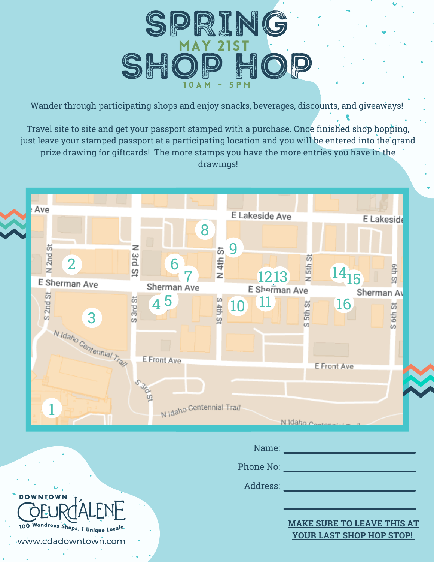

Wander through participating shops and enjoy snacks, beverages, discounts, and giveaways!

Travel site to site and get your passport stamped with a purchase. Once finished shop hopping, just leave your stamped passport at a participating location and you will be entered into the grand prize drawing for giftcards! The more stamps you have the more entries you have in the drawings!



|                                                             | Name:     |                                                               |
|-------------------------------------------------------------|-----------|---------------------------------------------------------------|
|                                                             | Phone No: |                                                               |
| U                                                           | Address:  |                                                               |
| <b>DOWNTOWN</b>                                             |           |                                                               |
| 100 Wondrous Shops, I Unique Locale.<br>www.cdadowntown.com |           | <b>MAKE SURE TO LEAVE THIS AT</b><br>YOUR LAST SHOP HOP STOP! |